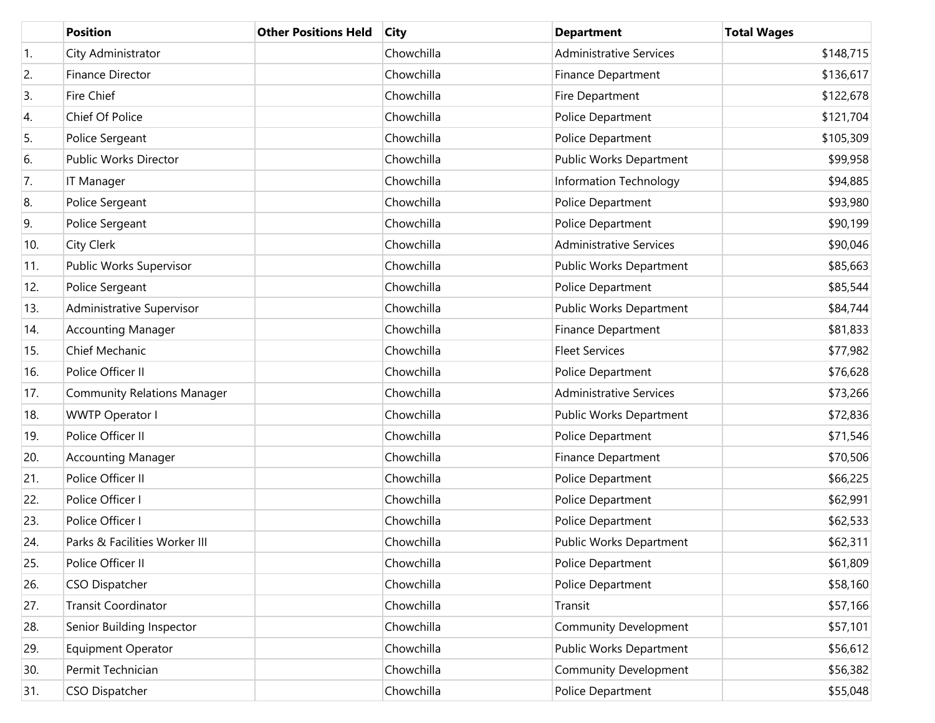|     | <b>Position</b>                    | <b>Other Positions Held</b> | <b>City</b> | <b>Department</b>              | <b>Total Wages</b> |
|-----|------------------------------------|-----------------------------|-------------|--------------------------------|--------------------|
| 1.  | City Administrator                 |                             | Chowchilla  | <b>Administrative Services</b> | \$148,715          |
| 2.  | Finance Director                   |                             | Chowchilla  | <b>Finance Department</b>      | \$136,617          |
| 3.  | Fire Chief                         |                             | Chowchilla  | Fire Department                | \$122,678          |
| 4.  | Chief Of Police                    |                             | Chowchilla  | Police Department              | \$121,704          |
| 5.  | Police Sergeant                    |                             | Chowchilla  | Police Department              | \$105,309          |
| 6.  | Public Works Director              |                             | Chowchilla  | Public Works Department        | \$99,958           |
| 7.  | <b>IT Manager</b>                  |                             | Chowchilla  | Information Technology         | \$94,885           |
| 8.  | Police Sergeant                    |                             | Chowchilla  | Police Department              | \$93,980           |
| 9.  | Police Sergeant                    |                             | Chowchilla  | Police Department              | \$90,199           |
| 10. | City Clerk                         |                             | Chowchilla  | <b>Administrative Services</b> | \$90,046           |
| 11. | Public Works Supervisor            |                             | Chowchilla  | Public Works Department        | \$85,663           |
| 12. | Police Sergeant                    |                             | Chowchilla  | Police Department              | \$85,544           |
| 13. | Administrative Supervisor          |                             | Chowchilla  | Public Works Department        | \$84,744           |
| 14. | <b>Accounting Manager</b>          |                             | Chowchilla  | Finance Department             | \$81,833           |
| 15. | Chief Mechanic                     |                             | Chowchilla  | <b>Fleet Services</b>          | \$77,982           |
| 16. | Police Officer II                  |                             | Chowchilla  | Police Department              | \$76,628           |
| 17. | <b>Community Relations Manager</b> |                             | Chowchilla  | <b>Administrative Services</b> | \$73,266           |
| 18. | <b>WWTP Operator I</b>             |                             | Chowchilla  | Public Works Department        | \$72,836           |
| 19. | Police Officer II                  |                             | Chowchilla  | Police Department              | \$71,546           |
| 20. | <b>Accounting Manager</b>          |                             | Chowchilla  | Finance Department             | \$70,506           |
| 21. | Police Officer II                  |                             | Chowchilla  | Police Department              | \$66,225           |
| 22. | Police Officer I                   |                             | Chowchilla  | Police Department              | \$62,991           |
| 23. | Police Officer I                   |                             | Chowchilla  | Police Department              | \$62,533           |
| 24. | Parks & Facilities Worker III      |                             | Chowchilla  | Public Works Department        | \$62,311           |
| 25. | Police Officer II                  |                             | Chowchilla  | Police Department              | \$61,809           |
| 26. | CSO Dispatcher                     |                             | Chowchilla  | Police Department              | \$58,160           |
| 27. | <b>Transit Coordinator</b>         |                             | Chowchilla  | Transit                        | \$57,166           |
| 28. | Senior Building Inspector          |                             | Chowchilla  | Community Development          | \$57,101           |
| 29. | Equipment Operator                 |                             | Chowchilla  | Public Works Department        | \$56,612           |
| 30. | Permit Technician                  |                             | Chowchilla  | Community Development          | \$56,382           |
| 31. | <b>CSO Dispatcher</b>              |                             | Chowchilla  | Police Department              | \$55,048           |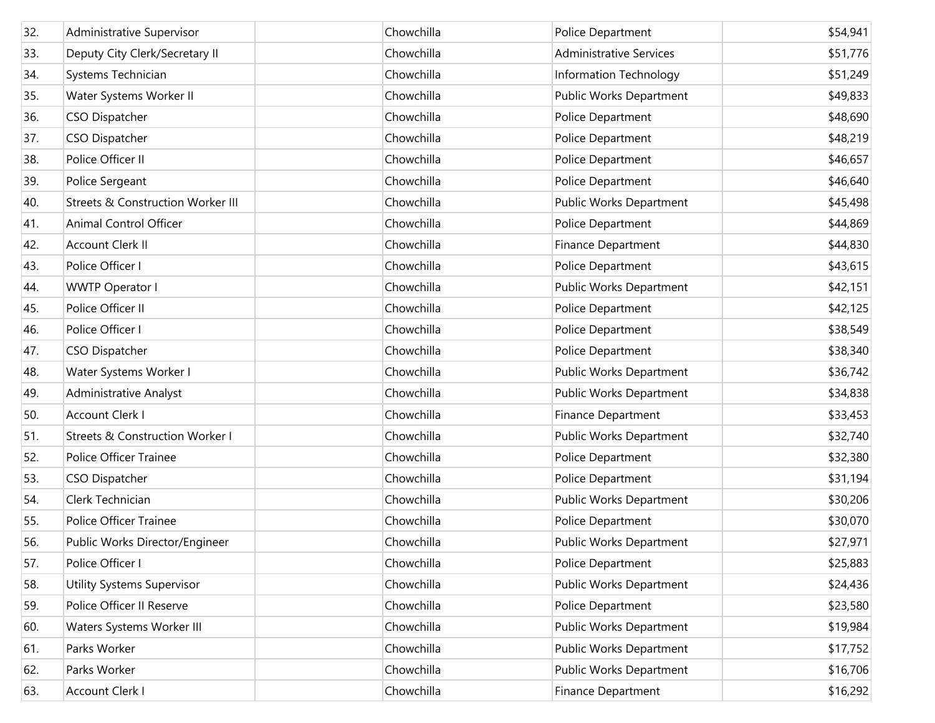| 32. | Administrative Supervisor                    | Chowchilla | Police Department              | \$54,941 |
|-----|----------------------------------------------|------------|--------------------------------|----------|
| 33. | Deputy City Clerk/Secretary II               | Chowchilla | <b>Administrative Services</b> | \$51,776 |
| 34. | Systems Technician                           | Chowchilla | Information Technology         | \$51,249 |
| 35. | Water Systems Worker II                      | Chowchilla | Public Works Department        | \$49,833 |
| 36. | CSO Dispatcher                               | Chowchilla | Police Department              | \$48,690 |
| 37. | CSO Dispatcher                               | Chowchilla | Police Department              | \$48,219 |
| 38. | Police Officer II                            | Chowchilla | Police Department              | \$46,657 |
| 39. | Police Sergeant                              | Chowchilla | Police Department              | \$46,640 |
| 40. | <b>Streets &amp; Construction Worker III</b> | Chowchilla | Public Works Department        | \$45,498 |
| 41. | Animal Control Officer                       | Chowchilla | Police Department              | \$44,869 |
| 42. | Account Clerk II                             | Chowchilla | Finance Department             | \$44,830 |
| 43. | Police Officer I                             | Chowchilla | Police Department              | \$43,615 |
| 44. | <b>WWTP Operator I</b>                       | Chowchilla | Public Works Department        | \$42,151 |
| 45. | Police Officer II                            | Chowchilla | Police Department              | \$42,125 |
| 46. | Police Officer I                             | Chowchilla | Police Department              | \$38,549 |
| 47. | CSO Dispatcher                               | Chowchilla | Police Department              | \$38,340 |
| 48. | Water Systems Worker I                       | Chowchilla | Public Works Department        | \$36,742 |
| 49. | <b>Administrative Analyst</b>                | Chowchilla | Public Works Department        | \$34,838 |
| 50. | Account Clerk I                              | Chowchilla | Finance Department             | \$33,453 |
| 51. | Streets & Construction Worker I              | Chowchilla | Public Works Department        | \$32,740 |
| 52. | Police Officer Trainee                       | Chowchilla | Police Department              | \$32,380 |
| 53. | CSO Dispatcher                               | Chowchilla | Police Department              | \$31,194 |
| 54. | Clerk Technician                             | Chowchilla | Public Works Department        | \$30,206 |
| 55. | <b>Police Officer Trainee</b>                | Chowchilla | Police Department              | \$30,070 |
| 56. | Public Works Director/Engineer               | Chowchilla | Public Works Department        | \$27,971 |
| 57. | Police Officer I                             | Chowchilla | Police Department              | \$25,883 |
| 58. | <b>Utility Systems Supervisor</b>            | Chowchilla | Public Works Department        | \$24,436 |
| 59. | Police Officer II Reserve                    | Chowchilla | Police Department              | \$23,580 |
| 60. | Waters Systems Worker III                    | Chowchilla | Public Works Department        | \$19,984 |
| 61. | Parks Worker                                 | Chowchilla | Public Works Department        | \$17,752 |
| 62. | Parks Worker                                 | Chowchilla | Public Works Department        | \$16,706 |
| 63. | Account Clerk I                              | Chowchilla | Finance Department             | \$16,292 |